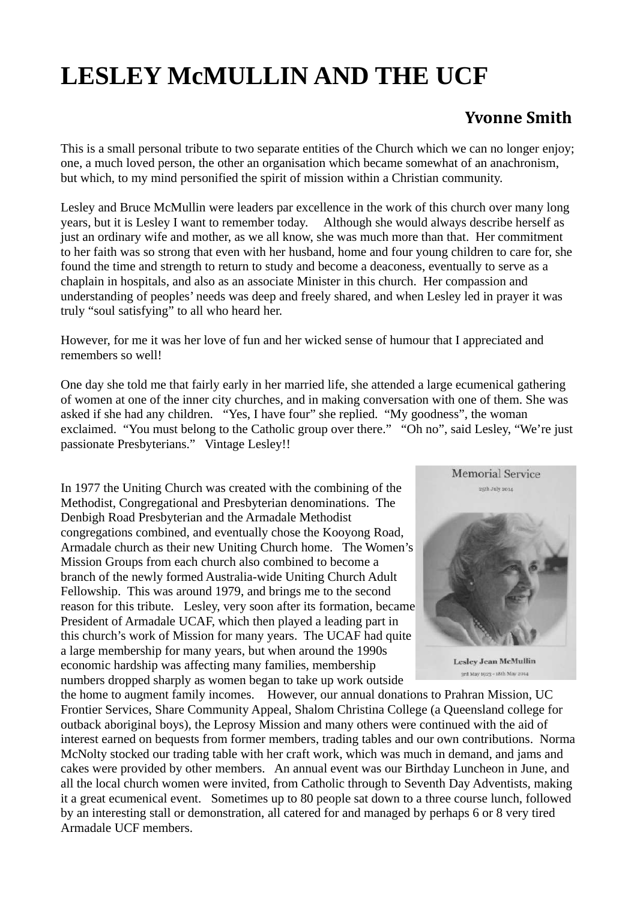## **LESLEY McMULLIN AND THE UCF**

## **Yvonne Smith**

This is a small personal tribute to two separate entities of the Church which we can no longer enjoy; one, a much loved person, the other an organisation which became somewhat of an anachronism, but which, to my mind personified the spirit of mission within a Christian community.

Lesley and Bruce McMullin were leaders par excellence in the work of this church over many long years, but it is Lesley I want to remember today. Although she would always describe herself as just an ordinary wife and mother, as we all know, she was much more than that. Her commitment to her faith was so strong that even with her husband, home and four young children to care for, she found the time and strength to return to study and become a deaconess, eventually to serve as a chaplain in hospitals, and also as an associate Minister in this church. Her compassion and understanding of peoples' needs was deep and freely shared, and when Lesley led in prayer it was truly "soul satisfying" to all who heard her.

However, for me it was her love of fun and her wicked sense of humour that I appreciated and remembers so well!

One day she told me that fairly early in her married life, she attended a large ecumenical gathering of women at one of the inner city churches, and in making conversation with one of them. She was asked if she had any children. "Yes, I have four" she replied. "My goodness", the woman exclaimed. "You must belong to the Catholic group over there." "Oh no", said Lesley, "We're just passionate Presbyterians." Vintage Lesley!!

In 1977 the Uniting Church was created with the combining of the Methodist, Congregational and Presbyterian denominations. The Denbigh Road Presbyterian and the Armadale Methodist congregations combined, and eventually chose the Kooyong Road, Armadale church as their new Uniting Church home. The Women's Mission Groups from each church also combined to become a branch of the newly formed Australia-wide Uniting Church Adult Fellowship. This was around 1979, and brings me to the second reason for this tribute. Lesley, very soon after its formation, became President of Armadale UCAF, which then played a leading part in this church's work of Mission for many years. The UCAF had quite a large membership for many years, but when around the 1990s economic hardship was affecting many families, membership numbers dropped sharply as women began to take up work outside



Lesley Jean McMullin 3rd May 1923 - 18th May 2014

the home to augment family incomes. However, our annual donations to Prahran Mission, UC Frontier Services, Share Community Appeal, Shalom Christina College (a Queensland college for outback aboriginal boys), the Leprosy Mission and many others were continued with the aid of interest earned on bequests from former members, trading tables and our own contributions. Norma McNolty stocked our trading table with her craft work, which was much in demand, and jams and cakes were provided by other members. An annual event was our Birthday Luncheon in June, and all the local church women were invited, from Catholic through to Seventh Day Adventists, making it a great ecumenical event. Sometimes up to 80 people sat down to a three course lunch, followed by an interesting stall or demonstration, all catered for and managed by perhaps 6 or 8 very tired Armadale UCF members.